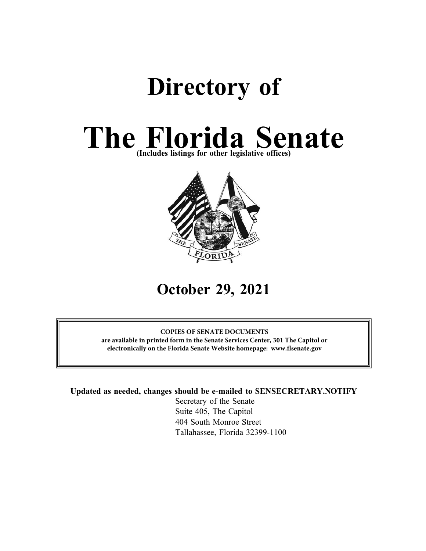# **Directory of**

# **The Florida Senate (Includes listings for other legislative offices)**



## **October 29, 2021**

### **COPIES OF SENATE DOCUMENTS**

**are available in printed form in the Senate Services Center, 301 The Capitol or electronically on the Florida Senate Website homepage: www.flsenate.gov**

**Updated as needed, changes should be e-mailed to SENSECRETARY.NOTIFY**

Secretary of the Senate Suite 405, The Capitol 404 South Monroe Street Tallahassee, Florida 32399-1100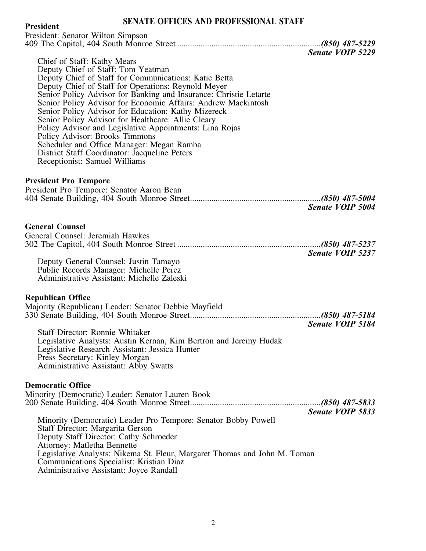### **SENATE OFFICES AND PROFESSIONAL STAFF President**

| President<br>President: Senator Wilton Simpson                                                                                                                                                                                                                                                                                                                                                                                                                                                                                                                                                                                                                   |                         |
|------------------------------------------------------------------------------------------------------------------------------------------------------------------------------------------------------------------------------------------------------------------------------------------------------------------------------------------------------------------------------------------------------------------------------------------------------------------------------------------------------------------------------------------------------------------------------------------------------------------------------------------------------------------|-------------------------|
|                                                                                                                                                                                                                                                                                                                                                                                                                                                                                                                                                                                                                                                                  |                         |
| Chief of Staff: Kathy Mears<br>Deputy Chief of Staff: Tom Yeatman<br>Deputy Chief of Staff for Communications: Katie Betta<br>Deputy Chief of Staff for Operations: Reynold Meyer<br>Senior Policy Advisor for Banking and Insurance: Christie Letarte<br>Senior Policy Advisor for Economic Affairs: Andrew Mackintosh<br>Senior Policy Advisor for Education: Kathy Mizereck<br>Senior Policy Advisor for Healthcare: Allie Cleary<br>Policy Advisor and Legislative Appointments: Lina Rojas<br>Policy Advisor: Brooks Timmons<br>Scheduler and Office Manager: Megan Ramba<br>District Staff Coordinator: Jacqueline Peters<br>Receptionist: Samuel Williams | Senate VOIP 5229        |
| <b>President Pro Tempore</b><br>President Pro Tempore: Senator Aaron Bean                                                                                                                                                                                                                                                                                                                                                                                                                                                                                                                                                                                        | <b>Senate VOIP 5004</b> |
| <b>General Counsel</b><br>General Counsel: Jeremiah Hawkes<br>Deputy General Counsel: Justin Tamayo<br>Public Records Manager: Michelle Perez<br>Administrative Assistant: Michelle Zaleski                                                                                                                                                                                                                                                                                                                                                                                                                                                                      | Senate VOIP 5237        |
| <b>Republican Office</b><br>Majority (Republican) Leader: Senator Debbie Mayfield<br><b>Staff Director: Ronnie Whitaker</b><br>Legislative Analysts: Austin Kernan, Kim Bertron and Jeremy Hudak<br>Legislative Research Assistant: Jessica Hunter<br>Press Secretary: Kinley Morgan<br><b>Administrative Assistant: Abby Swatts</b>                                                                                                                                                                                                                                                                                                                             | Senate VOIP 5184        |
| <b>Democratic Office</b><br>Minority (Democratic) Leader: Senator Lauren Book<br>Minority (Democratic) Leader Pro Tempore: Senator Bobby Powell<br>Staff Director: Margarita Gerson<br>Deputy Staff Director: Cathy Schroeder<br><b>Attorney: Matletha Bennette</b><br>Legislative Analysts: Nikema St. Fleur, Margaret Thomas and John M. Toman<br>Communications Specialist: Kristian Diaz<br>Administrative Assistant: Joyce Randall                                                                                                                                                                                                                          | Senate VOIP 5833        |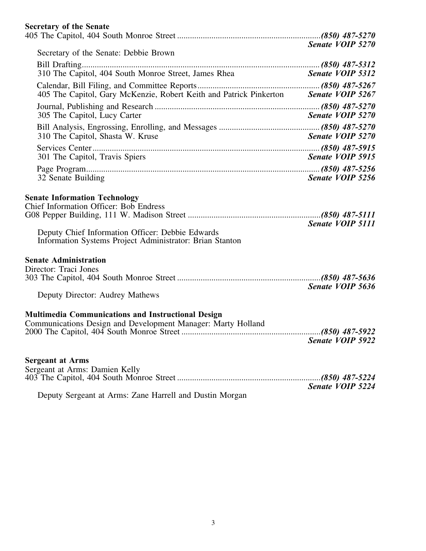### **Secretary of the Senate**

| Secretary of the Senate: Debbie Brown                                                                                                                | Senate VOIP 5270        |
|------------------------------------------------------------------------------------------------------------------------------------------------------|-------------------------|
|                                                                                                                                                      |                         |
| 310 The Capitol, 404 South Monroe Street, James Rhea                                                                                                 | <b>Senate VOIP 5312</b> |
|                                                                                                                                                      |                         |
| 405 The Capitol, Gary McKenzie, Robert Keith and Patrick Pinkerton Senate VOIP 5267                                                                  |                         |
| 305 The Capitol, Lucy Carter                                                                                                                         | Senate VOIP 5270        |
|                                                                                                                                                      |                         |
| 310 The Capitol, Shasta W. Kruse                                                                                                                     | Senate VOIP 5270        |
|                                                                                                                                                      |                         |
| 301 The Capitol, Travis Spiers                                                                                                                       | Senate VOIP 5915        |
|                                                                                                                                                      |                         |
| 32 Senate Building                                                                                                                                   | Senate VOIP 5256        |
| Deputy Chief Information Officer: Debbie Edwards<br>Information Systems Project Administrator: Brian Stanton                                         | Senate VOIP 5111        |
| <b>Senate Administration</b>                                                                                                                         |                         |
| Director: Traci Jones                                                                                                                                |                         |
|                                                                                                                                                      |                         |
| Deputy Director: Audrey Mathews                                                                                                                      | Senate VOIP 5636        |
| <b>Multimedia Communications and Instructional Design</b><br>Communications Design and Development Manager: Marty Holland<br><b>Senate VOIP 5922</b> |                         |
| <b>Sergeant at Arms</b>                                                                                                                              |                         |
| Sergeant at Arms: Damien Kelly                                                                                                                       |                         |
|                                                                                                                                                      |                         |
| Deputy Sergeant at Arms: Zane Harrell and Dustin Morgan                                                                                              | Senate VOIP 5224        |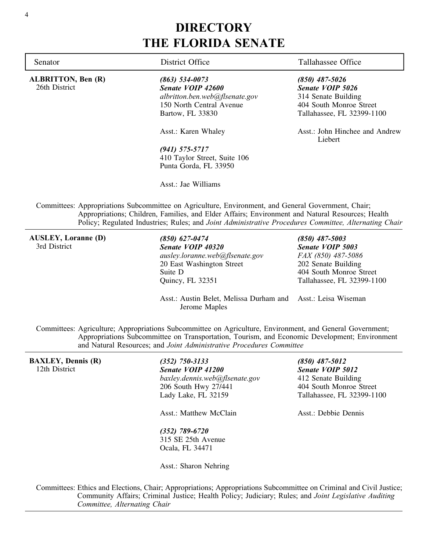### **DIRECTORY THE FLORIDA SENATE**

**ALBRITTON, Ben (R)** 26th District

*(863) 534-0073 Senate VOIP 42600 albritton.ben.web@flsenate.gov* 150 North Central Avenue Bartow, FL 33830

Asst.: Karen Whaley

*(941) 575-5717* 410 Taylor Street, Suite 106 Punta Gorda, FL 33950

Asst.: Jae Williams

Senator **District Office** Tallahassee Office

*(850) 487-5026 Senate VOIP 5026* 314 Senate Building 404 South Monroe Street Tallahassee, FL 32399-1100

Asst.: John Hinchee and Andrew Liebert

Committees: Appropriations Subcommittee on Agriculture, Environment, and General Government, Chair; Appropriations; Children, Families, and Elder Affairs; Environment and Natural Resources; Health Policy; Regulated Industries; Rules; and *Joint Administrative Procedures Committee, Alternating Chair*

**AUSLEY, Loranne (D)** 3rd District

*(850) 627-0474 Senate VOIP 40320 ausley.loranne.web@flsenate.gov* 20 East Washington Street Suite D Quincy, FL 32351

*(850) 487-5003 Senate VOIP 5003 FAX (850) 487-5086* 202 Senate Building 404 South Monroe Street Tallahassee, FL 32399-1100

Asst.: Austin Belet, Melissa Durham and Asst.: Leisa Wiseman Jerome Maples

Committees: Agriculture; Appropriations Subcommittee on Agriculture, Environment, and General Government; Appropriations Subcommittee on Transportation, Tourism, and Economic Development; Environment and Natural Resources; and *Joint Administrative Procedures Committee*

**BAXLEY, Dennis (R)** 12th District *(352) 750-3133 Senate VOIP 41200 baxley.dennis.web@flsenate.gov* 206 South Hwy 27/441 Lady Lake, FL 32159 Asst.: Matthew McClain *(352) 789-6720* 315 SE 25th Avenue Ocala, FL 34471 Asst.: Sharon Nehring *(850) 487-5012 Senate VOIP 5012* 412 Senate Building 404 South Monroe Street Tallahassee, FL 32399-1100 Asst.: Debbie Dennis

Committees: Ethics and Elections, Chair; Appropriations; Appropriations Subcommittee on Criminal and Civil Justice; Community Affairs; Criminal Justice; Health Policy; Judiciary; Rules; and *Joint Legislative Auditing Committee, Alternating Chair*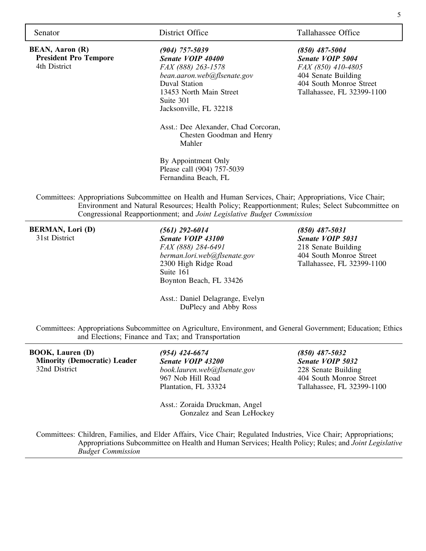**BEAN, Aaron (R) President Pro Tempore** 4th District

*(904) 757-5039 Senate VOIP 40400 FAX (888) 263-1578 bean.aaron.web@flsenate.gov* Duval Station 13453 North Main Street Suite 301 Jacksonville, FL 32218

Asst.: Dee Alexander, Chad Corcoran, Chesten Goodman and Henry Mahler

By Appointment Only Please call (904) 757-5039 Fernandina Beach, FL

Committees: Appropriations Subcommittee on Health and Human Services, Chair; Appropriations, Vice Chair; Environment and Natural Resources; Health Policy; Reapportionment; Rules; Select Subcommittee on Congressional Reapportionment; and *Joint Legislative Budget Commission*

**BERMAN, Lori (D)** 31st District

*(561) 292-6014 Senate VOIP 43100 FAX (888) 284-6491 berman.lori.web@flsenate.gov* 2300 High Ridge Road Suite 161 Boynton Beach, FL 33426

Asst.: Daniel Delagrange, Evelyn DuPlecy and Abby Ross

*(850) 487-5031 Senate VOIP 5031* 218 Senate Building 404 South Monroe Street Tallahassee, FL 32399-1100

Committees: Appropriations Subcommittee on Agriculture, Environment, and General Government; Education; Ethics and Elections; Finance and Tax; and Transportation

**BOOK, Lauren (D) Minority (Democratic) Leader** 32nd District

*(954) 424-6674 Senate VOIP 43200 book.lauren.web@flsenate.gov* 967 Nob Hill Road Plantation, FL 33324

Asst.: Zoraida Druckman, Angel Gonzalez and Sean LeHockey

*(850) 487-5032 Senate VOIP 5032* 228 Senate Building 404 South Monroe Street Tallahassee, FL 32399-1100

Committees: Children, Families, and Elder Affairs, Vice Chair; Regulated Industries, Vice Chair; Appropriations; Appropriations Subcommittee on Health and Human Services; Health Policy; Rules; and *Joint Legislative Budget Commission*

Senator District Office Tallahassee Office

*(850) 487-5004 Senate VOIP 5004 FAX (850) 410-4805* 404 Senate Building 404 South Monroe Street Tallahassee, FL 32399-1100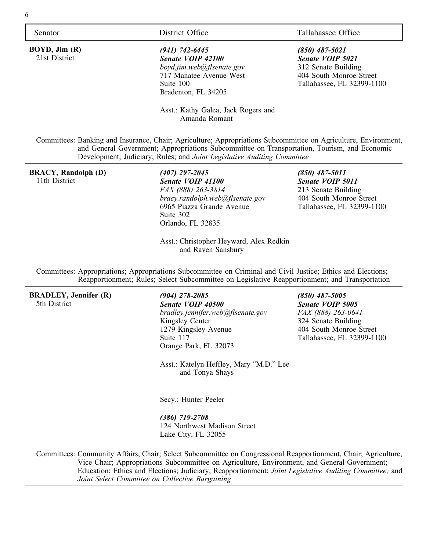**BOYD, Jim (R)** 21st District

*(941) 742-6445 Senate VOIP 42100 boyd.jim.web@flsenate.gov* 717 Manatee Avenue West Suite 100 Bradenton, FL 34205

### Senator District Office Tallahassee Office

*(850) 487-5021 Senate VOIP 5021* 312 Senate Building 404 South Monroe Street Tallahassee, FL 32399-1100

Asst.: Kathy Galea, Jack Rogers and Amanda Romant

Committees: Banking and Insurance, Chair; Agriculture; Appropriations Subcommittee on Agriculture, Environment, and General Government; Appropriations Subcommittee on Transportation, Tourism, and Economic Development; Judiciary; Rules; and *Joint Legislative Auditing Committee*

### **BRACY, Randolph (D)** 11th District

### *(407) 297-2045 Senate VOIP 41100 FAX (888) 263-3814 bracy.randolph.web@flsenate.gov* 6965 Piazza Grande Avenue Suite 302 Orlando, FL 32835

*(850) 487-5011 Senate VOIP 5011* 213 Senate Building 404 South Monroe Street Tallahassee, FL 32399-1100

Asst.: Christopher Heyward, Alex Redkin and Raven Sansbury

Committees: Appropriations; Appropriations Subcommittee on Criminal and Civil Justice; Ethics and Elections; Reapportionment; Rules; Select Subcommittee on Legislative Reapportionment; and Transportation

**BRADLEY, Jennifer (R)** 5th District

*(904) 278-2085 Senate VOIP 40500 bradley.jennifer.web@flsenate.gov* Kingsley Center 1279 Kingsley Avenue Suite 117 Orange Park, FL 32073

*(850) 487-5005 Senate VOIP 5005 FAX (888) 263-0641* 324 Senate Building 404 South Monroe Street Tallahassee, FL 32399-1100

Asst.: Katelyn Heffley, Mary "M.D." Lee and Tonya Shays

Secy.: Hunter Peeler

*(386) 719-2708* 124 Northwest Madison Street Lake City, FL 32055

Committees: Community Affairs, Chair; Select Subcommittee on Congressional Reapportionment, Chair; Agriculture, Vice Chair; Appropriations Subcommittee on Agriculture, Environment, and General Government; Education; Ethics and Elections; Judiciary; Reapportionment; *Joint Legislative Auditing Committee;* and *Joint Select Committee on Collective Bargaining*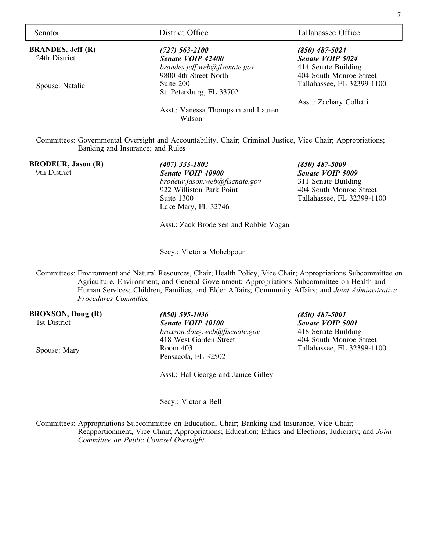**BRANDES, Jeff (R)** 24th District

Spouse: Natalie

*(727) 563-2100 Senate VOIP 42400 brandes.jeff.web@flsenate.gov* 9800 4th Street North Suite 200 St. Petersburg, FL 33702

Asst.: Vanessa Thompson and Lauren Wilson

Senator District Office Tallahassee Office

*(850) 487-5024 Senate VOIP 5024* 414 Senate Building 404 South Monroe Street Tallahassee, FL 32399-1100

Asst.: Zachary Colletti

Committees: Governmental Oversight and Accountability, Chair; Criminal Justice, Vice Chair; Appropriations; Banking and Insurance; and Rules

### **BRODEUR, Jason (R)** 9th District

*(407) 333-1802 Senate VOIP 40900 brodeur.jason.web@flsenate.gov* 922 Williston Park Point Suite 1300 Lake Mary, FL 32746

*(850) 487-5009 Senate VOIP 5009* 311 Senate Building 404 South Monroe Street Tallahassee, FL 32399-1100

*(850) 487-5001 Senate VOIP 5001* 418 Senate Building 404 South Monroe Street Tallahassee, FL 32399-1100

Asst.: Zack Brodersen and Robbie Vogan

Secy.: Victoria Mohebpour

Committees: Environment and Natural Resources, Chair; Health Policy, Vice Chair; Appropriations Subcommittee on Agriculture, Environment, and General Government; Appropriations Subcommittee on Health and Human Services; Children, Families, and Elder Affairs; Community Affairs; and *Joint Administrative Procedures Committee*

**BROXSON, Doug (R)** 1st District

Spouse: Mary

*(850) 595-1036 Senate VOIP 40100 broxson.doug.web@flsenate.gov* 418 West Garden Street Room 403 Pensacola, FL 32502

Asst.: Hal George and Janice Gilley

Secy.: Victoria Bell

Committees: Appropriations Subcommittee on Education, Chair; Banking and Insurance, Vice Chair; Reapportionment, Vice Chair; Appropriations; Education; Ethics and Elections; Judiciary; and *Joint Committee on Public Counsel Oversight*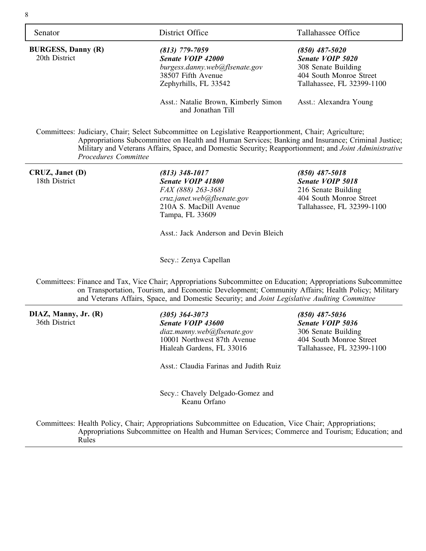8

**BURGESS, Danny (R)** 20th District

*(813) 779-7059 Senate VOIP 42000 burgess.danny.web@flsenate.gov* 38507 Fifth Avenue Zephyrhills, FL 33542

Asst.: Natalie Brown, Kimberly Simon and Jonathan Till

Senator District Office Tallahassee Office

*(850) 487-5020 Senate VOIP 5020* 308 Senate Building 404 South Monroe Street Tallahassee, FL 32399-1100

Asst.: Alexandra Young

Committees: Judiciary, Chair; Select Subcommittee on Legislative Reapportionment, Chair; Agriculture; Appropriations Subcommittee on Health and Human Services; Banking and Insurance; Criminal Justice; Military and Veterans Affairs, Space, and Domestic Security; Reapportionment; and *Joint Administrative Procedures Committee*

**CRUZ, Janet (D)** 18th District

*(813) 348-1017 Senate VOIP 41800 FAX (888) 263-3681 cruz.janet.web@flsenate.gov* 210A S. MacDill Avenue Tampa, FL 33609

*(850) 487-5018 Senate VOIP 5018* 216 Senate Building 404 South Monroe Street Tallahassee, FL 32399-1100

*(850) 487-5036 Senate VOIP 5036* 306 Senate Building 404 South Monroe Street Tallahassee, FL 32399-1100

Asst.: Jack Anderson and Devin Bleich

Secy.: Zenya Capellan

Committees: Finance and Tax, Vice Chair; Appropriations Subcommittee on Education; Appropriations Subcommittee on Transportation, Tourism, and Economic Development; Community Affairs; Health Policy; Military and Veterans Affairs, Space, and Domestic Security; and *Joint Legislative Auditing Committee*

**DIAZ, Manny, Jr. (R)** 36th District

*(305) 364-3073 Senate VOIP 43600 diaz.manny.web@flsenate.gov* 10001 Northwest 87th Avenue Hialeah Gardens, FL 33016

Asst.: Claudia Farinas and Judith Ruiz

Secy.: Chavely Delgado-Gomez and Keanu Orfano

Committees: Health Policy, Chair; Appropriations Subcommittee on Education, Vice Chair; Appropriations; Appropriations Subcommittee on Health and Human Services; Commerce and Tourism; Education; and

Rules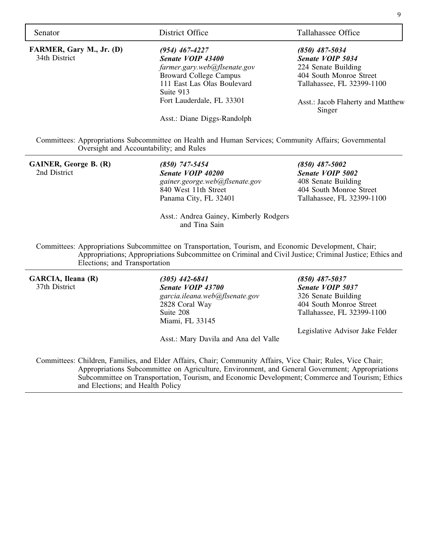| Senator                      | District Office                                                                                                                                  | Tallahassee Office                          |
|------------------------------|--------------------------------------------------------------------------------------------------------------------------------------------------|---------------------------------------------|
| FARMER, Gary M., Jr. (D)     | $(954)$ 467-4227                                                                                                                                 | $(850)$ 487-5034                            |
| 34th District                | Senate VOIP 43400                                                                                                                                | Senate VOIP 5034                            |
|                              | farmer.gary.web@flsenate.gov                                                                                                                     | 224 Senate Building                         |
|                              | <b>Broward College Campus</b>                                                                                                                    | 404 South Monroe Street                     |
|                              | 111 East Las Olas Boulevard                                                                                                                      | Tallahassee, FL 32399-1100                  |
|                              | Suite 913                                                                                                                                        |                                             |
|                              | Fort Lauderdale, FL 33301                                                                                                                        | Asst.: Jacob Flaherty and Matthew<br>Singer |
|                              | Asst.: Diane Diggs-Randolph                                                                                                                      |                                             |
|                              | Committees: Appropriations Subcommittee on Health and Human Services; Community Affairs; Governmental<br>Oversight and Accountability; and Rules |                                             |
| <b>GAINER, George B. (R)</b> | $(850)$ 747-5454                                                                                                                                 | $(850)$ 487-5002                            |

2nd District

*Senate VOIP 40200 gainer.george.web@flsenate.gov* 840 West 11th Street Panama City, FL 32401

*Senate VOIP 5002* 408 Senate Building 404 South Monroe Street Tallahassee, FL 32399-1100

Asst.: Andrea Gainey, Kimberly Rodgers and Tina Sain

Committees: Appropriations Subcommittee on Transportation, Tourism, and Economic Development, Chair; Appropriations; Appropriations Subcommittee on Criminal and Civil Justice; Criminal Justice; Ethics and Elections; and Transportation

**GARCIA, Ileana (R)** 37th District

*(305) 442-6841 Senate VOIP 43700 garcia.ileana.web@flsenate.gov* 2828 Coral Way Suite 208 Miami, FL 33145

Asst.: Mary Davila and Ana del Valle

*(850) 487-5037 Senate VOIP 5037* 326 Senate Building 404 South Monroe Street Tallahassee, FL 32399-1100

Legislative Advisor Jake Felder

Committees: Children, Families, and Elder Affairs, Chair; Community Affairs, Vice Chair; Rules, Vice Chair; Appropriations Subcommittee on Agriculture, Environment, and General Government; Appropriations Subcommittee on Transportation, Tourism, and Economic Development; Commerce and Tourism; Ethics and Elections; and Health Policy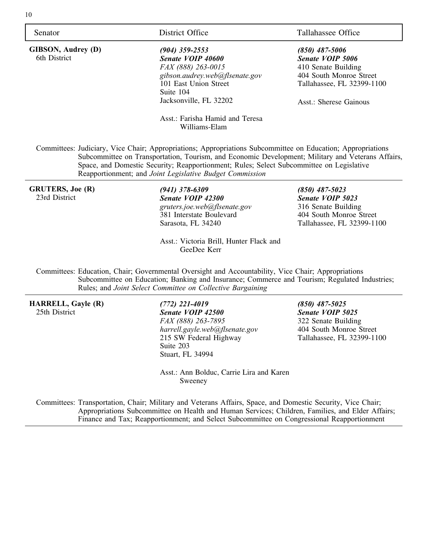**GIBSON, Audrey (D)** 6th District

*(904) 359-2553 Senate VOIP 40600 FAX (888) 263-0015 gibson.audrey.web@flsenate.gov* 101 East Union Street Suite 104 Jacksonville, FL 32202

Asst.: Farisha Hamid and Teresa Williams-Elam

Senator District Office Tallahassee Office

*(850) 487-5006 Senate VOIP 5006* 410 Senate Building 404 South Monroe Street Tallahassee, FL 32399-1100

Asst.: Sherese Gainous

Committees: Judiciary, Vice Chair; Appropriations; Appropriations Subcommittee on Education; Appropriations Subcommittee on Transportation, Tourism, and Economic Development; Military and Veterans Affairs, Space, and Domestic Security; Reapportionment; Rules; Select Subcommittee on Legislative Reapportionment; and *Joint Legislative Budget Commission*

### **GRUTERS, Joe (R)** 23rd District

*(941) 378-6309 Senate VOIP 42300 gruters.joe.web@flsenate.gov* 381 Interstate Boulevard Sarasota, FL 34240

*(850) 487-5023 Senate VOIP 5023* 316 Senate Building 404 South Monroe Street Tallahassee, FL 32399-1100

Asst.: Victoria Brill, Hunter Flack and GeeDee Kerr

Committees: Education, Chair; Governmental Oversight and Accountability, Vice Chair; Appropriations Subcommittee on Education; Banking and Insurance; Commerce and Tourism; Regulated Industries; Rules; and *Joint Select Committee on Collective Bargaining*

### **HARRELL, Gayle (R)** 25th District

*(772) 221-4019 Senate VOIP 42500 FAX (888) 263-7895 harrell.gayle.web@flsenate.gov* 215 SW Federal Highway Suite 203 Stuart, FL 34994

*(850) 487-5025 Senate VOIP 5025* 322 Senate Building 404 South Monroe Street Tallahassee, FL 32399-1100

Asst.: Ann Bolduc, Carrie Lira and Karen Sweeney

Committees: Transportation, Chair; Military and Veterans Affairs, Space, and Domestic Security, Vice Chair; Appropriations Subcommittee on Health and Human Services; Children, Families, and Elder Affairs; Finance and Tax; Reapportionment; and Select Subcommittee on Congressional Reapportionment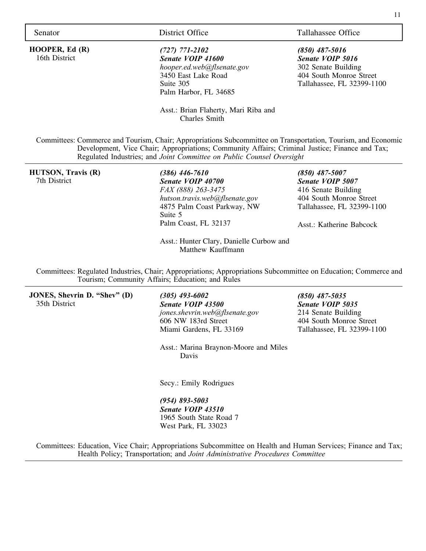**HOOPER, Ed (R)** 16th District

*(727) 771-2102 Senate VOIP 41600 hooper.ed.web@flsenate.gov* 3450 East Lake Road Suite 305 Palm Harbor, FL 34685

Senator District Office Tallahassee Office

*(850) 487-5016 Senate VOIP 5016* 302 Senate Building 404 South Monroe Street Tallahassee, FL 32399-1100

Asst.: Brian Flaherty, Mari Riba and Charles Smith

Committees: Commerce and Tourism, Chair; Appropriations Subcommittee on Transportation, Tourism, and Economic Development, Vice Chair; Appropriations; Community Affairs; Criminal Justice; Finance and Tax; Regulated Industries; and *Joint Committee on Public Counsel Oversight*

**HUTSON, Travis (R)** 7th District

*(386) 446-7610 Senate VOIP 40700 FAX (888) 263-3475 hutson.travis.web@flsenate.gov* 4875 Palm Coast Parkway, NW Suite 5 Palm Coast, FL 32137

Asst.: Hunter Clary, Danielle Curbow and Matthew Kauffmann

*(850) 487-5007 Senate VOIP 5007* 416 Senate Building 404 South Monroe Street Tallahassee, FL 32399-1100

Asst · Katherine Babcock

Committees: Regulated Industries, Chair; Appropriations; Appropriations Subcommittee on Education; Commerce and Tourism; Community Affairs; Education; and Rules

**JONES, Shevrin D. "Shev" (D)** 35th District

*(305) 493-6002 Senate VOIP 43500 jones.shevrin.web@flsenate.gov* 606 NW 183rd Street Miami Gardens, FL 33169

*(850) 487-5035 Senate VOIP 5035* 214 Senate Building 404 South Monroe Street Tallahassee, FL 32399-1100

Asst.: Marina Braynon-Moore and Miles Davis

Secy.: Emily Rodrigues

*(954) 893-5003 Senate VOIP 43510* 1965 South State Road 7 West Park, FL 33023

Committees: Education, Vice Chair; Appropriations Subcommittee on Health and Human Services; Finance and Tax; Health Policy; Transportation; and *Joint Administrative Procedures Committee*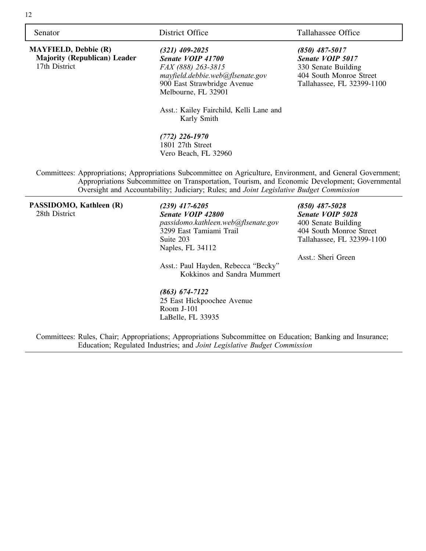**MAYFIELD, Debbie (R) Majority (Republican) Leader** 17th District

*(321) 409-2025 Senate VOIP 41700 FAX (888) 263-3815 mayfield.debbie.web@flsenate.gov* 900 East Strawbridge Avenue Melbourne, FL 32901

Asst.: Kailey Fairchild, Kelli Lane and Karly Smith

*(772) 226-1970* 1801 27th Street Vero Beach, FL 32960

Senator District Office Tallahassee Office

*(850) 487-5017 Senate VOIP 5017* 330 Senate Building 404 South Monroe Street Tallahassee, FL 32399-1100

Committees: Appropriations; Appropriations Subcommittee on Agriculture, Environment, and General Government; Appropriations Subcommittee on Transportation, Tourism, and Economic Development; Governmental Oversight and Accountability; Judiciary; Rules; and *Joint Legislative Budget Commission*

**PASSIDOMO, Kathleen (R)** 28th District

*(239) 417-6205 Senate VOIP 42800 passidomo.kathleen.web@flsenate.gov* 3299 East Tamiami Trail Suite 203 Naples, FL 34112

Asst.: Paul Hayden, Rebecca "Becky" Kokkinos and Sandra Mummert

*(850) 487-5028 Senate VOIP 5028* 400 Senate Building 404 South Monroe Street Tallahassee, FL 32399-1100

Asst.: Sheri Green

*(863) 674-7122* 25 East Hickpoochee Avenue Room J-101 LaBelle, FL 33935

Committees: Rules, Chair; Appropriations; Appropriations Subcommittee on Education; Banking and Insurance; Education; Regulated Industries; and *Joint Legislative Budget Commission*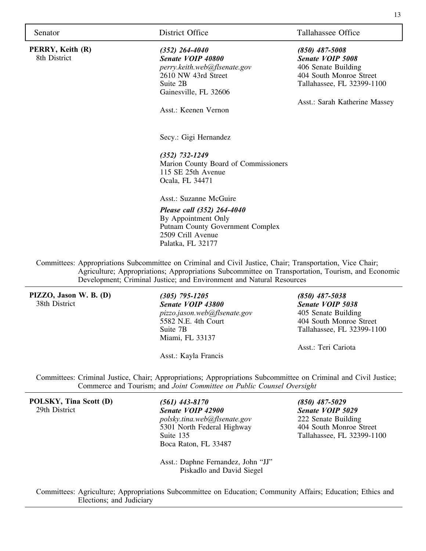| Senator |  |  |
|---------|--|--|
|         |  |  |

**PERRY, Keith (R)** 8th District

### Senator **District Office** Tallahassee Office

### *(352) 264-4040 Senate VOIP 40800 perry.keith.web@flsenate.gov*

2610 NW 43rd Street Suite 2B Gainesville, FL 32606

Asst.: Keenen Vernon

Secy.: Gigi Hernandez

*(352) 732-1249* Marion County Board of Commissioners 115 SE 25th Avenue Ocala, FL 34471

Asst.: Suzanne McGuire

### *Please call (352) 264-4040* By Appointment Only Putnam County Government Complex 2509 Crill Avenue Palatka, FL 32177

Committees: Appropriations Subcommittee on Criminal and Civil Justice, Chair; Transportation, Vice Chair; Agriculture; Appropriations; Appropriations Subcommittee on Transportation, Tourism, and Economic Development; Criminal Justice; and Environment and Natural Resources

**PIZZO, Jason W. B. (D)** 38th District

*(305) 795-1205 Senate VOIP 43800 pizzo.jason.web@flsenate.gov* 5582 N.E. 4th Court Suite 7B Miami, FL 33137

Asst.: Kayla Francis

*(850) 487-5038 Senate VOIP 5038* 405 Senate Building 404 South Monroe Street Tallahassee, FL 32399-1100

Asst.: Teri Cariota

*(850) 487-5008 Senate VOIP 5008* 406 Senate Building 404 South Monroe Street Tallahassee, FL 32399-1100

Asst.: Sarah Katherine Massey

Committees: Criminal Justice, Chair; Appropriations; Appropriations Subcommittee on Criminal and Civil Justice; Commerce and Tourism; and *Joint Committee on Public Counsel Oversight*

**POLSKY, Tina Scott (D)** 29th District

*(561) 443-8170 Senate VOIP 42900 polsky.tina.web@flsenate.gov* 5301 North Federal Highway Suite 135 Boca Raton, FL 33487

*(850) 487-5029 Senate VOIP 5029* 222 Senate Building 404 South Monroe Street Tallahassee, FL 32399-1100

Asst.: Daphne Fernandez, John "JJ" Piskadlo and David Siegel

Committees: Agriculture; Appropriations Subcommittee on Education; Community Affairs; Education; Ethics and Elections; and Judiciary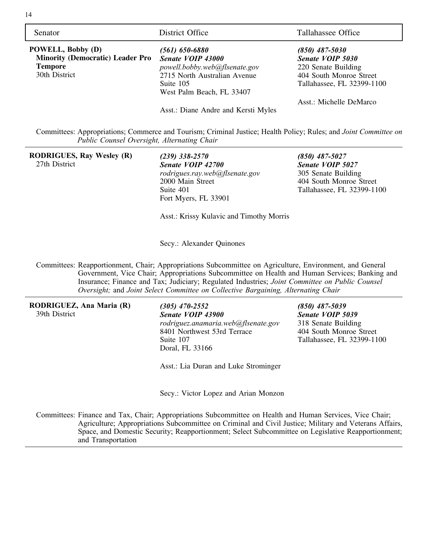| Senator                                                                                                | District Office                                                                                                         | Tallahassee Office                                                                     |
|--------------------------------------------------------------------------------------------------------|-------------------------------------------------------------------------------------------------------------------------|----------------------------------------------------------------------------------------|
| <b>POWELL, Bobby (D)</b><br><b>Minority (Democratic) Leader Pro</b><br><b>Tempore</b><br>30th District | (561) 650-6880<br>Senate VOIP 43000<br>powell.bobby.web@flsenate.gov<br>2715 North Australian Avenue<br>Suite 105       | $(850)$ 487-5030<br>Senate VOIP 5030<br>220 Senate Building<br>404 South Monroe Street |
|                                                                                                        | West Palm Beach, FL 33407                                                                                               | Tallahassee, FL 32399-1100<br>Asst.: Michelle DeMarco                                  |
|                                                                                                        | Asst.: Diane Andre and Kersti Myles                                                                                     |                                                                                        |
| Public Counsel Oversight, Alternating Chair                                                            | Committees: Appropriations; Commerce and Tourism; Criminal Justice; Health Policy; Rules; and <i>Joint Committee on</i> |                                                                                        |

**RODRIGUES, Ray Wesley (R)** 27th District

*(239) 338-2570 Senate VOIP 42700 rodrigues.ray.web@flsenate.gov* 2000 Main Street Suite 401 Fort Myers, FL 33901

*(850) 487-5027 Senate VOIP 5027* 305 Senate Building 404 South Monroe Street Tallahassee, FL 32399-1100

Asst.: Krissy Kulavic and Timothy Morris

Secy.: Alexander Quinones

Committees: Reapportionment, Chair; Appropriations Subcommittee on Agriculture, Environment, and General Government, Vice Chair; Appropriations Subcommittee on Health and Human Services; Banking and Insurance; Finance and Tax; Judiciary; Regulated Industries; *Joint Committee on Public Counsel Oversight;* and *Joint Select Committee on Collective Bargaining, Alternating Chair*

**RODRIGUEZ, Ana Maria (R)** 39th District

*(305) 470-2552 Senate VOIP 43900 rodriguez.anamaria.web@flsenate.gov* 8401 Northwest 53rd Terrace Suite 107 Doral, FL 33166

*(850) 487-5039 Senate VOIP 5039* 318 Senate Building 404 South Monroe Street Tallahassee, FL 32399-1100

Asst.: Lia Duran and Luke Strominger

Secy.: Victor Lopez and Arian Monzon

Committees: Finance and Tax, Chair; Appropriations Subcommittee on Health and Human Services, Vice Chair; Agriculture; Appropriations Subcommittee on Criminal and Civil Justice; Military and Veterans Affairs, Space, and Domestic Security; Reapportionment; Select Subcommittee on Legislative Reapportionment; and Transportation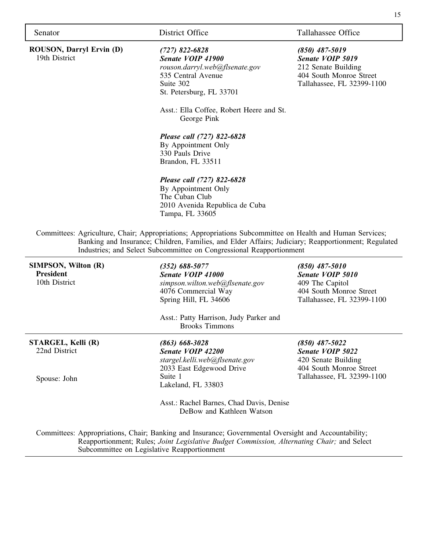19th District

**ROUSON, Darryl Ervin (D)**

*(727) 822-6828 Senate VOIP 41900 rouson.darryl.web@flsenate.gov* 535 Central Avenue Suite 302 St. Petersburg, FL 33701

Asst.: Ella Coffee, Robert Heere and St. George Pink

*Please call (727) 822-6828*

By Appointment Only 330 Pauls Drive Brandon, FL 33511

### *Please call (727) 822-6828*

By Appointment Only The Cuban Club 2010 Avenida Republica de Cuba Tampa, FL 33605

Committees: Agriculture, Chair; Appropriations; Appropriations Subcommittee on Health and Human Services; Banking and Insurance; Children, Families, and Elder Affairs; Judiciary; Reapportionment; Regulated Industries; and Select Subcommittee on Congressional Reapportionment

**SIMPSON, Wilton (R) President** 10th District

**STARGEL, Kelli (R)** 22nd District

Spouse: John

*(352) 688-5077 Senate VOIP 41000 simpson.wilton.web@flsenate.gov* 4076 Commercial Way Spring Hill, FL 34606

Asst.: Patty Harrison, Judy Parker and Brooks Timmons

*(863) 668-3028 Senate VOIP 42200 stargel.kelli.web@flsenate.gov* 2033 East Edgewood Drive Suite 1 Lakeland, FL 33803

*Senate VOIP 5010* 409 The Capitol 404 South Monroe Street Tallahassee, FL 32399-1100

*(850) 487-5010*

*(850) 487-5022 Senate VOIP 5022* 420 Senate Building 404 South Monroe Street Tallahassee, FL 32399-1100

Asst.: Rachel Barnes, Chad Davis, Denise DeBow and Kathleen Watson

Committees: Appropriations, Chair; Banking and Insurance; Governmental Oversight and Accountability; Reapportionment; Rules; *Joint Legislative Budget Commission, Alternating Chair;* and Select Subcommittee on Legislative Reapportionment

Senator District Office Tallahassee Office

*(850) 487-5019 Senate VOIP 5019* 212 Senate Building 404 South Monroe Street Tallahassee, FL 32399-1100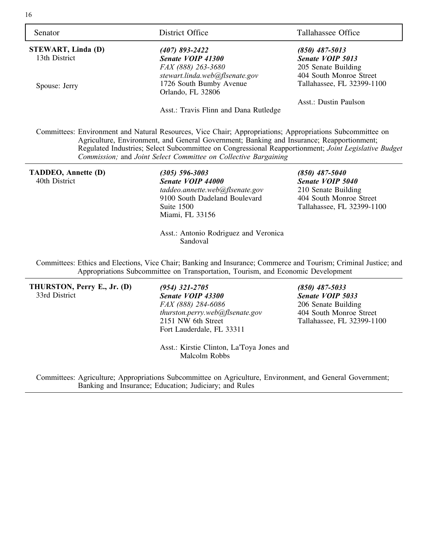| Senator                   | District Office                                                                                                                                                                                                                                                                                                                                                                   | Tallahassee Office         |
|---------------------------|-----------------------------------------------------------------------------------------------------------------------------------------------------------------------------------------------------------------------------------------------------------------------------------------------------------------------------------------------------------------------------------|----------------------------|
| <b>STEWART, Linda (D)</b> | (407) 893-2422                                                                                                                                                                                                                                                                                                                                                                    | $(850)$ 487-5013           |
| 13th District             | Senate VOIP 41300                                                                                                                                                                                                                                                                                                                                                                 | <b>Senate VOIP 5013</b>    |
|                           | FAX (888) 263-3680                                                                                                                                                                                                                                                                                                                                                                | 205 Senate Building        |
|                           | stewart.linda.web@flsenate.gov                                                                                                                                                                                                                                                                                                                                                    | 404 South Monroe Street    |
| Spouse: Jerry             | 1726 South Bumby Avenue                                                                                                                                                                                                                                                                                                                                                           | Tallahassee, FL 32399-1100 |
|                           | Orlando, FL 32806                                                                                                                                                                                                                                                                                                                                                                 |                            |
|                           |                                                                                                                                                                                                                                                                                                                                                                                   | Asst.: Dustin Paulson      |
|                           | Asst.: Travis Flinn and Dana Rutledge                                                                                                                                                                                                                                                                                                                                             |                            |
|                           | Committees: Environment and Natural Resources, Vice Chair; Appropriations; Appropriations Subcommittee on<br>Agriculture, Environment, and General Government; Banking and Insurance; Reapportionment;<br>Regulated Industries; Select Subcommittee on Congressional Reapportionment; Joint Legislative Budget<br>Commission; and Joint Select Committee on Collective Bargaining |                            |
| TADDEO, Annette (D)       | (305) 596-3003                                                                                                                                                                                                                                                                                                                                                                    | $(850)$ 487-5040           |
| 40th District             | Senate VOIP 44000                                                                                                                                                                                                                                                                                                                                                                 | Senate VOIP 5040           |
|                           | taddeo.annette.web@flsenate.gov                                                                                                                                                                                                                                                                                                                                                   | 210 Senate Building        |

9100 South Dadeland Boulevard Suite 1500 Miami, FL 33156 Asst.: Antonio Rodriguez and Veronica

Sandoval

210 Senate Building 404 South Monroe Street Tallahassee, FL 32399-1100

Committees: Ethics and Elections, Vice Chair; Banking and Insurance; Commerce and Tourism; Criminal Justice; and Appropriations Subcommittee on Transportation, Tourism, and Economic Development

**THURSTON, Perry E., Jr. (D)** 33rd District

*(954) 321-2705 Senate VOIP 43300 FAX (888) 284-6086 thurston.perry.web@flsenate.gov* 2151 NW 6th Street Fort Lauderdale, FL 33311

*(850) 487-5033 Senate VOIP 5033* 206 Senate Building 404 South Monroe Street Tallahassee, FL 32399-1100

Asst.: Kirstie Clinton, La'Toya Jones and Malcolm Robbs

Committees: Agriculture; Appropriations Subcommittee on Agriculture, Environment, and General Government; Banking and Insurance; Education; Judiciary; and Rules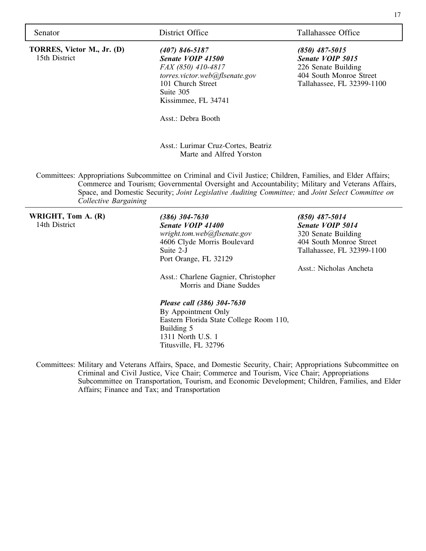**TORRES, Victor M., Jr. (D)** 15th District

*(407) 846-5187 Senate VOIP 41500 FAX (850) 410-4817 torres.victor.web@flsenate.gov* 101 Church Street Suite 305 Kissimmee, FL 34741

Asst.: Debra Booth

Asst.: Lurimar Cruz-Cortes, Beatriz Marte and Alfred Yorston

Committees: Appropriations Subcommittee on Criminal and Civil Justice; Children, Families, and Elder Affairs; Commerce and Tourism; Governmental Oversight and Accountability; Military and Veterans Affairs, Space, and Domestic Security; *Joint Legislative Auditing Committee;* and *Joint Select Committee on Collective Bargaining*

**WRIGHT, Tom A. (R)** 14th District

*(386) 304-7630 Senate VOIP 41400 wright.tom.web@flsenate.gov* 4606 Clyde Morris Boulevard Suite 2-J Port Orange, FL 32129

Asst.: Charlene Gagnier, Christopher Morris and Diane Suddes

### *(850) 487-5014 Senate VOIP 5014*

320 Senate Building 404 South Monroe Street Tallahassee, FL 32399-1100

Asst.: Nicholas Ancheta

### *Please call (386) 304-7630*

By Appointment Only Eastern Florida State College Room 110, Building 5 1311 North U.S. 1 Titusville, FL 32796

Committees: Military and Veterans Affairs, Space, and Domestic Security, Chair; Appropriations Subcommittee on Criminal and Civil Justice, Vice Chair; Commerce and Tourism, Vice Chair; Appropriations Subcommittee on Transportation, Tourism, and Economic Development; Children, Families, and Elder Affairs; Finance and Tax; and Transportation

Senator District Office Tallahassee Office

*(850) 487-5015 Senate VOIP 5015* 226 Senate Building 404 South Monroe Street Tallahassee, FL 32399-1100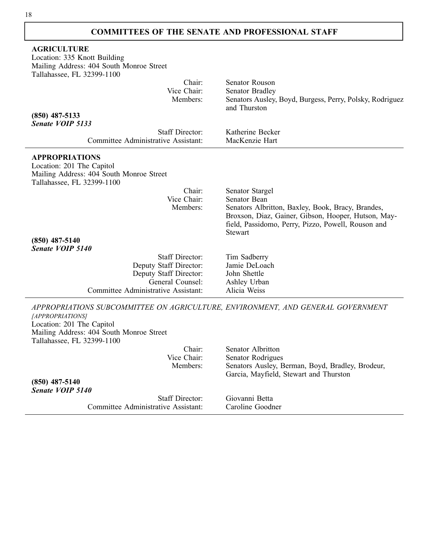### **COMMITTEES OF THE SENATE AND PROFESSIONAL STAFF**

| <b>AGRICULTURE</b>                                                              |                                                          |
|---------------------------------------------------------------------------------|----------------------------------------------------------|
| Location: 335 Knott Building                                                    |                                                          |
| Mailing Address: 404 South Monroe Street                                        |                                                          |
| Tallahassee, FL 32399-1100                                                      |                                                          |
| Chair:                                                                          | Senator Rouson                                           |
| Vice Chair:                                                                     | <b>Senator Bradley</b>                                   |
| Members:                                                                        | Senators Ausley, Boyd, Burgess, Perry, Polsky, Rodriguez |
|                                                                                 | and Thurston                                             |
| $(850)$ 487-5133                                                                |                                                          |
| Senate VOIP 5133                                                                |                                                          |
| <b>Staff Director:</b>                                                          | Katherine Becker                                         |
|                                                                                 |                                                          |
| Committee Administrative Assistant:                                             | MacKenzie Hart                                           |
| <b>APPROPRIATIONS</b>                                                           |                                                          |
|                                                                                 |                                                          |
| Location: 201 The Capitol                                                       |                                                          |
| Mailing Address: 404 South Monroe Street                                        |                                                          |
| Tallahassee, FL 32399-1100                                                      |                                                          |
| Chair:                                                                          | Senator Stargel                                          |
| Vice Chair:                                                                     | Senator Bean                                             |
| Members:                                                                        | Senators Albritton, Baxley, Book, Bracy, Brandes,        |
|                                                                                 | Broxson, Diaz, Gainer, Gibson, Hooper, Hutson, May-      |
|                                                                                 | field, Passidomo, Perry, Pizzo, Powell, Rouson and       |
|                                                                                 | <b>Stewart</b>                                           |
| $(850)$ 487-5140                                                                |                                                          |
| <b>Senate VOIP 5140</b>                                                         |                                                          |
| <b>Staff Director:</b>                                                          | Tim Sadberry                                             |
| Deputy Staff Director:                                                          | Jamie DeLoach                                            |
| Deputy Staff Director:                                                          | John Shettle                                             |
| General Counsel:                                                                | Ashley Urban                                             |
| Committee Administrative Assistant:                                             | Alicia Weiss                                             |
|                                                                                 |                                                          |
| APPROPRIATIONS SUBCOMMITTEE ON AGRICULTURE, ENVIRONMENT, AND GENERAL GOVERNMENT |                                                          |
| [APPROPRIATIONS]                                                                |                                                          |
|                                                                                 |                                                          |
| Location: 201 The Capitol                                                       |                                                          |
| Mailing Address: 404 South Monroe Street                                        |                                                          |
| Tallahassee, FL 32399-1100                                                      |                                                          |
| Chair:                                                                          | Senator Albritton                                        |
| Vice Chair:                                                                     | Senator Rodrigues                                        |
| Members:                                                                        | Senators Ausley, Berman, Boyd, Bradley, Brodeur,         |
|                                                                                 | Garcia, Mayfield, Stewart and Thurston                   |
| $(850)$ 487-5140                                                                |                                                          |
| <b>Senate VOIP 5140</b>                                                         |                                                          |
| $\sim$ $\sim$ $\cdot$                                                           |                                                          |

Committee Administrative Assistant:

Staff Director: Giovanni Betta<br>ative Assistant: Caroline Goodner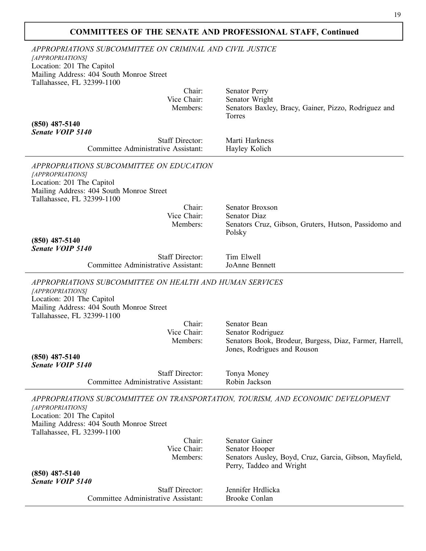| APPROPRIATIONS SUBCOMMITTEE ON CRIMINAL AND CIVIL JUSTICE<br>[APPROPRIATIONS]                                                                                                       |                                                                              |
|-------------------------------------------------------------------------------------------------------------------------------------------------------------------------------------|------------------------------------------------------------------------------|
| Location: 201 The Capitol<br>Mailing Address: 404 South Monroe Street<br>Tallahassee, FL 32399-1100                                                                                 |                                                                              |
| Chair:                                                                                                                                                                              | <b>Senator Perry</b>                                                         |
| Vice Chair:<br>Members:                                                                                                                                                             | Senator Wright<br>Senators Baxley, Bracy, Gainer, Pizzo, Rodriguez and       |
| $(850)$ 487-5140<br><b>Senate VOIP 5140</b>                                                                                                                                         | Torres                                                                       |
| <b>Staff Director:</b>                                                                                                                                                              | Marti Harkness                                                               |
| Committee Administrative Assistant:                                                                                                                                                 | Hayley Kolich                                                                |
| APPROPRIATIONS SUBCOMMITTEE ON EDUCATION<br>[APPROPRIATIONS]<br>Location: 201 The Capitol<br>Mailing Address: 404 South Monroe Street                                               |                                                                              |
| Tallahassee, FL 32399-1100                                                                                                                                                          |                                                                              |
| Chair:                                                                                                                                                                              | Senator Broxson                                                              |
| Vice Chair:<br>Members:                                                                                                                                                             | <b>Senator Diaz</b><br>Senators Cruz, Gibson, Gruters, Hutson, Passidomo and |
| $(850)$ 487-5140<br>Senate VOIP 5140                                                                                                                                                | Polsky                                                                       |
| <b>Staff Director:</b>                                                                                                                                                              | Tim Elwell                                                                   |
| Committee Administrative Assistant:                                                                                                                                                 | JoAnne Bennett                                                               |
| APPROPRIATIONS SUBCOMMITTEE ON HEALTH AND HUMAN SERVICES<br>[APPROPRIATIONS]<br>Location: 201 The Capitol<br>Mailing Address: 404 South Monroe Street<br>Tallahassee, FL 32399-1100 |                                                                              |
| Chair:                                                                                                                                                                              | Senator Bean                                                                 |
| Vice Chair:                                                                                                                                                                         | Senator Rodriguez                                                            |
| Members:                                                                                                                                                                            | Senators Book, Brodeur, Burgess, Diaz, Farmer, Harrell,                      |
| $(850)$ 487-5140<br><b>Senate VOIP 5140</b>                                                                                                                                         | Jones, Rodrigues and Rouson                                                  |
| <b>Staff Director:</b>                                                                                                                                                              | Tonya Money                                                                  |
| Committee Administrative Assistant:                                                                                                                                                 | Robin Jackson                                                                |
| APPROPRIATIONS SUBCOMMITTEE ON TRANSPORTATION, TOURISM, AND ECONOMIC DEVELOPMENT<br>[APPROPRIATIONS]                                                                                |                                                                              |
| Location: 201 The Capitol<br>Mailing Address: 404 South Monroe Street<br>Tallahassee, FL 32399-1100                                                                                 |                                                                              |
| Chair:                                                                                                                                                                              | Senator Gainer                                                               |
| Vice Chair:<br>Members:                                                                                                                                                             | Senator Hooper<br>Senators Ausley, Boyd, Cruz, Garcia, Gibson, Mayfield,     |
| $(850)$ 487-5140                                                                                                                                                                    | Perry, Taddeo and Wright                                                     |
| <b>Senate VOIP 5140</b>                                                                                                                                                             |                                                                              |
| <b>Staff Director:</b>                                                                                                                                                              | Jennifer Hrdlicka                                                            |
| Committee Administrative Assistant:                                                                                                                                                 | <b>Brooke Conlan</b>                                                         |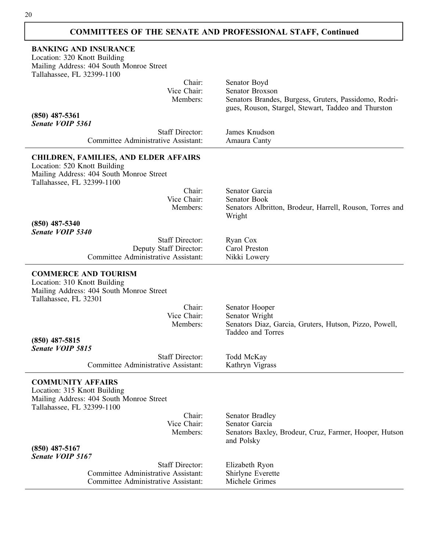| <b>BANKING AND INSURANCE</b><br>Location: 320 Knott Building<br>Mailing Address: 404 South Monroe Street<br>Tallahassee, FL 32399-1100                 |                                                                             |
|--------------------------------------------------------------------------------------------------------------------------------------------------------|-----------------------------------------------------------------------------|
| Chair:                                                                                                                                                 | Senator Boyd                                                                |
| Vice Chair:                                                                                                                                            | Senator Broxson                                                             |
| Members:                                                                                                                                               | Senators Brandes, Burgess, Gruters, Passidomo, Rodri-                       |
| $(850)$ 487-5361                                                                                                                                       | gues, Rouson, Stargel, Stewart, Taddeo and Thurston                         |
| Senate VOIP 5361                                                                                                                                       |                                                                             |
| <b>Staff Director:</b>                                                                                                                                 | James Knudson                                                               |
| Committee Administrative Assistant:                                                                                                                    | Amaura Canty                                                                |
| <b>CHILDREN, FAMILIES, AND ELDER AFFAIRS</b><br>Location: 520 Knott Building<br>Mailing Address: 404 South Monroe Street<br>Tallahassee, FL 32399-1100 |                                                                             |
| Chair:                                                                                                                                                 | Senator Garcia                                                              |
| Vice Chair:                                                                                                                                            | Senator Book                                                                |
| Members:                                                                                                                                               | Senators Albritton, Brodeur, Harrell, Rouson, Torres and                    |
| $(850)$ 487-5340<br>Senate VOIP 5340                                                                                                                   | Wright                                                                      |
| <b>Staff Director:</b>                                                                                                                                 | Ryan Cox                                                                    |
| Deputy Staff Director:                                                                                                                                 | Carol Preston                                                               |
| Committee Administrative Assistant:                                                                                                                    | Nikki Lowery                                                                |
| <b>COMMERCE AND TOURISM</b><br>Location: 310 Knott Building<br>Mailing Address: 404 South Monroe Street<br>Tallahassee, FL 32301                       |                                                                             |
| Chair:                                                                                                                                                 | Senator Hooper                                                              |
| Vice Chair:                                                                                                                                            | Senator Wright                                                              |
| Members:                                                                                                                                               | Senators Diaz, Garcia, Gruters, Hutson, Pizzo, Powell,<br>Taddeo and Torres |
| $(850)$ 487-5815                                                                                                                                       |                                                                             |
| Senate VOIP 5815                                                                                                                                       |                                                                             |
| <b>Staff Director:</b><br>Committee Administrative Assistant:                                                                                          | Todd McKay                                                                  |
|                                                                                                                                                        | Kathryn Vigrass                                                             |
| <b>COMMUNITY AFFAIRS</b><br>Location: 315 Knott Building<br>Mailing Address: 404 South Monroe Street<br>Tallahassee, FL 32399-1100                     |                                                                             |
| Chair:                                                                                                                                                 | <b>Senator Bradley</b>                                                      |
| Vice Chair:                                                                                                                                            | Senator Garcia                                                              |
| Members:                                                                                                                                               | Senators Baxley, Brodeur, Cruz, Farmer, Hooper, Hutson<br>and Polsky        |
| $(850)$ 487-5167                                                                                                                                       |                                                                             |
| Senate VOIP 5167                                                                                                                                       |                                                                             |
| <b>Staff Director:</b>                                                                                                                                 | Elizabeth Ryon                                                              |
| Committee Administrative Assistant:<br><b>Committee Administrative Assistant:</b>                                                                      | Shirlyne Everette<br>Michele Grimes                                         |
|                                                                                                                                                        |                                                                             |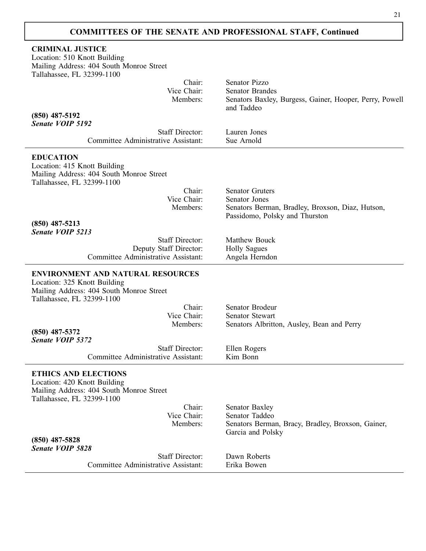$\mathbf{I}$ 

| <b>CRIMINAL JUSTICE</b><br>Location: 510 Knott Building<br>Mailing Address: 404 South Monroe Street<br>Tallahassee, FL 32399-1100                  |                                                                       |
|----------------------------------------------------------------------------------------------------------------------------------------------------|-----------------------------------------------------------------------|
| Chair:                                                                                                                                             | Senator Pizzo                                                         |
| Vice Chair:<br>Members:                                                                                                                            | <b>Senator Brandes</b>                                                |
|                                                                                                                                                    | Senators Baxley, Burgess, Gainer, Hooper, Perry, Powell<br>and Taddeo |
| $(850)$ 487-5192                                                                                                                                   |                                                                       |
| Senate VOIP 5192                                                                                                                                   |                                                                       |
| <b>Staff Director:</b><br>Committee Administrative Assistant:                                                                                      | Lauren Jones<br>Sue Arnold                                            |
|                                                                                                                                                    |                                                                       |
| <b>EDUCATION</b><br>Location: 415 Knott Building<br>Mailing Address: 404 South Monroe Street<br>Tallahassee, FL 32399-1100                         |                                                                       |
| Chair:                                                                                                                                             | <b>Senator Gruters</b>                                                |
| Vice Chair:                                                                                                                                        | Senator Jones                                                         |
| Members:                                                                                                                                           | Senators Berman, Bradley, Broxson, Diaz, Hutson,                      |
| $(850)$ 487-5213<br>Senate VOIP 5213                                                                                                               | Passidomo, Polsky and Thurston                                        |
| <b>Staff Director:</b>                                                                                                                             | Matthew Bouck                                                         |
| Deputy Staff Director:<br>Committee Administrative Assistant:                                                                                      | <b>Holly Sagues</b>                                                   |
|                                                                                                                                                    | Angela Herndon                                                        |
| <b>ENVIRONMENT AND NATURAL RESOURCES</b><br>Location: 325 Knott Building<br>Mailing Address: 404 South Monroe Street<br>Tallahassee, FL 32399-1100 |                                                                       |
| Chair:                                                                                                                                             | Senator Brodeur                                                       |
| Vice Chair:                                                                                                                                        | <b>Senator Stewart</b>                                                |
| Members:                                                                                                                                           | Senators Albritton, Ausley, Bean and Perry                            |
| $(850)$ 487-5372<br>Senate VOIP 5372                                                                                                               |                                                                       |
| <b>Staff Director:</b>                                                                                                                             | Ellen Rogers                                                          |
| Committee Administrative Assistant:                                                                                                                | Kim Bonn                                                              |
| <b>ETHICS AND ELECTIONS</b><br>Location: 420 Knott Building<br>Mailing Address: 404 South Monroe Street<br>Tallahassee, FL 32399-1100              |                                                                       |
| Chair:<br>Vice Chair:                                                                                                                              | <b>Senator Baxley</b><br>Senator Taddeo                               |
| Members:                                                                                                                                           | Senators Berman, Bracy, Bradley, Broxson, Gainer,                     |
| $(850)$ 487-5828                                                                                                                                   | Garcia and Polsky                                                     |
| <b>Senate VOIP 5828</b>                                                                                                                            |                                                                       |
| <b>Staff Director:</b>                                                                                                                             | Dawn Roberts                                                          |
| Committee Administrative Assistant:                                                                                                                | Erika Bowen                                                           |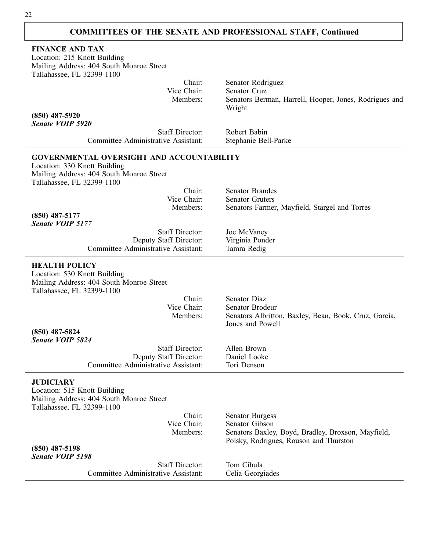| <b>FINANCE AND TAX</b>                                                   |                                                        |
|--------------------------------------------------------------------------|--------------------------------------------------------|
| Location: 215 Knott Building                                             |                                                        |
|                                                                          |                                                        |
| Mailing Address: 404 South Monroe Street                                 |                                                        |
| Tallahassee, FL 32399-1100                                               |                                                        |
| Chair:                                                                   | Senator Rodriguez                                      |
| Vice Chair:                                                              | Senator Cruz                                           |
| Members:                                                                 | Senators Berman, Harrell, Hooper, Jones, Rodrigues and |
|                                                                          | Wright                                                 |
| $(850)$ 487-5920                                                         |                                                        |
| <b>Senate VOIP 5920</b>                                                  |                                                        |
| <b>Staff Director:</b>                                                   | Robert Babin                                           |
| Committee Administrative Assistant:                                      | Stephanie Bell-Parke                                   |
| <b>GOVERNMENTAL OVERSIGHT AND ACCOUNTABILITY</b>                         |                                                        |
| Location: 330 Knott Building                                             |                                                        |
|                                                                          |                                                        |
| Mailing Address: 404 South Monroe Street                                 |                                                        |
| Tallahassee, FL 32399-1100                                               |                                                        |
| Chair:<br>Vice Chair:                                                    | <b>Senator Brandes</b>                                 |
|                                                                          | <b>Senator Gruters</b>                                 |
| Members:                                                                 | Senators Farmer, Mayfield, Stargel and Torres          |
| $(850)$ 487-5177<br>Senate VOIP 5177                                     |                                                        |
|                                                                          |                                                        |
| <b>Staff Director:</b>                                                   | Joe McVaney                                            |
| Deputy Staff Director:                                                   | Virginia Ponder                                        |
| Committee Administrative Assistant:                                      | Tamra Redig                                            |
| <b>HEALTH POLICY</b>                                                     |                                                        |
| Location: 530 Knott Building                                             |                                                        |
| Mailing Address: 404 South Monroe Street                                 |                                                        |
| Tallahassee, FL 32399-1100                                               |                                                        |
| Chair:                                                                   | Senator Diaz                                           |
| Vice Chair:                                                              | Senator Brodeur                                        |
|                                                                          |                                                        |
| Members:                                                                 | Senators Albritton, Baxley, Bean, Book, Cruz, Garcia,  |
|                                                                          | Jones and Powell                                       |
| $(850)$ 487-5824                                                         |                                                        |
| Senate VOIP 5824                                                         |                                                        |
| <b>Staff Director:</b>                                                   | Allen Brown                                            |
| Deputy Staff Director:                                                   | Daniel Looke                                           |
| Committee Administrative Assistant:                                      | Tori Denson                                            |
| <b>JUDICIARY</b>                                                         |                                                        |
|                                                                          |                                                        |
| Location: 515 Knott Building<br>Mailing Address: 404 South Monroe Street |                                                        |
|                                                                          |                                                        |
| Tallahassee, FL 32399-1100<br>Chair:                                     | <b>Senator Burgess</b>                                 |
| Vice Chair:                                                              | Senator Gibson                                         |
|                                                                          |                                                        |
| Members:                                                                 | Senators Baxley, Boyd, Bradley, Broxson, Mayfield,     |
|                                                                          | Polsky, Rodrigues, Rouson and Thurston                 |
| $(850)$ 487-5198                                                         |                                                        |
| <b>Senate VOIP 5198</b>                                                  |                                                        |
| <b>Staff Director:</b>                                                   | Tom Cibula                                             |
| Committee Administrative Assistant:                                      | Celia Georgiades                                       |
|                                                                          |                                                        |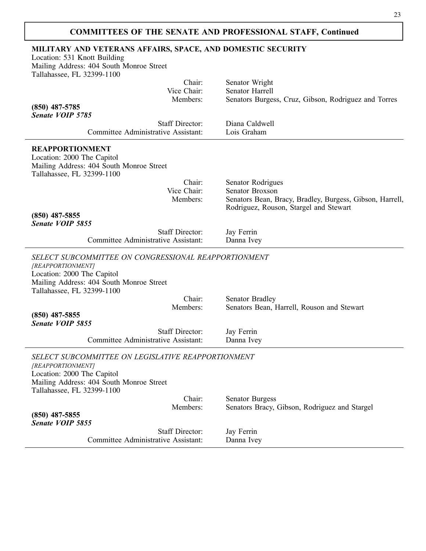### **MILITARY AND VETERANS AFFAIRS, SPACE, AND DOMESTIC SECURITY**

Location: 531 Knott Building Mailing Address: 404 South Monroe Street Tallahassee, FL 32399-1100

| Chair:<br>Vice Chair:                                                                                                                                                             | Senator Wright<br><b>Senator Harrell</b>                                                           |
|-----------------------------------------------------------------------------------------------------------------------------------------------------------------------------------|----------------------------------------------------------------------------------------------------|
| Members:                                                                                                                                                                          | Senators Burgess, Cruz, Gibson, Rodriguez and Torres                                               |
| $(850)$ 487-5785                                                                                                                                                                  |                                                                                                    |
| Senate VOIP 5785<br><b>Staff Director:</b>                                                                                                                                        | Diana Caldwell                                                                                     |
| Committee Administrative Assistant:                                                                                                                                               | Lois Graham                                                                                        |
| <b>REAPPORTIONMENT</b>                                                                                                                                                            |                                                                                                    |
| Location: 2000 The Capitol                                                                                                                                                        |                                                                                                    |
| Mailing Address: 404 South Monroe Street                                                                                                                                          |                                                                                                    |
| Tallahassee, FL 32399-1100                                                                                                                                                        |                                                                                                    |
| Chair:                                                                                                                                                                            | Senator Rodrigues                                                                                  |
| Vice Chair:<br>Members:                                                                                                                                                           | Senator Broxson                                                                                    |
|                                                                                                                                                                                   | Senators Bean, Bracy, Bradley, Burgess, Gibson, Harrell,<br>Rodriguez, Rouson, Stargel and Stewart |
| $(850)$ 487-5855                                                                                                                                                                  |                                                                                                    |
| Senate VOIP 5855                                                                                                                                                                  |                                                                                                    |
| <b>Staff Director:</b>                                                                                                                                                            | Jay Ferrin                                                                                         |
| Committee Administrative Assistant:                                                                                                                                               | Danna Ivey                                                                                         |
| SELECT SUBCOMMITTEE ON CONGRESSIONAL REAPPORTIONMENT<br>[REAPPORTIONMENT]<br>Location: 2000 The Capitol<br>Mailing Address: 404 South Monroe Street<br>Tallahassee, FL 32399-1100 |                                                                                                    |
| Chair:                                                                                                                                                                            | <b>Senator Bradley</b>                                                                             |
| Members:                                                                                                                                                                          | Senators Bean, Harrell, Rouson and Stewart                                                         |
| $(850)$ 487-5855                                                                                                                                                                  |                                                                                                    |
| Senate VOIP 5855<br><b>Staff Director:</b>                                                                                                                                        |                                                                                                    |
| Committee Administrative Assistant:                                                                                                                                               | Jay Ferrin<br>Danna Ivey                                                                           |
|                                                                                                                                                                                   |                                                                                                    |
| SELECT SUBCOMMITTEE ON LEGISLATIVE REAPPORTIONMENT<br>[REAPPORTIONMENT]<br>Location: 2000 The Capitol<br>Mailing Address: 404 South Monroe Street<br>Tallahassee, FL 32399-1100   |                                                                                                    |
| Chair:                                                                                                                                                                            | <b>Senator Burgess</b>                                                                             |
| Members:                                                                                                                                                                          | Senators Bracy, Gibson, Rodriguez and Stargel                                                      |
| $(850)$ 487-5855                                                                                                                                                                  |                                                                                                    |
| Senate VOIP 5855                                                                                                                                                                  |                                                                                                    |
| <b>Staff Director:</b>                                                                                                                                                            | Jay Ferrin                                                                                         |
| Committee Administrative Assistant:                                                                                                                                               | Danna Ivey                                                                                         |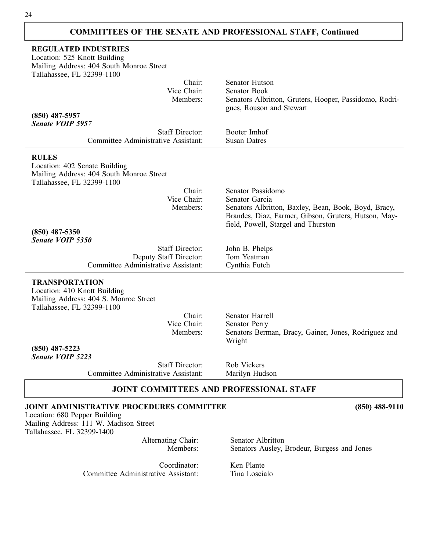| <b>REGULATED INDUSTRIES</b><br>Location: 525 Knott Building<br>Mailing Address: 404 South Monroe Street                                                   |                                                                                                                                                                                            |  |
|-----------------------------------------------------------------------------------------------------------------------------------------------------------|--------------------------------------------------------------------------------------------------------------------------------------------------------------------------------------------|--|
| Tallahassee, FL 32399-1100                                                                                                                                |                                                                                                                                                                                            |  |
| Chair:<br>Vice Chair:<br>Members:                                                                                                                         | Senator Hutson<br>Senator Book<br>Senators Albritton, Gruters, Hooper, Passidomo, Rodri-                                                                                                   |  |
| $(850)$ 487-5957<br>Senate VOIP 5957                                                                                                                      | gues, Rouson and Stewart                                                                                                                                                                   |  |
| <b>Staff Director:</b><br>Committee Administrative Assistant:                                                                                             | Booter Imhof<br><b>Susan Datres</b>                                                                                                                                                        |  |
| <b>RULES</b><br>Location: 402 Senate Building<br>Mailing Address: 404 South Monroe Street<br>Tallahassee, FL 32399-1100                                   |                                                                                                                                                                                            |  |
| Chair:<br>Vice Chair:<br>Members:                                                                                                                         | Senator Passidomo<br>Senator Garcia<br>Senators Albritton, Baxley, Bean, Book, Boyd, Bracy,<br>Brandes, Diaz, Farmer, Gibson, Gruters, Hutson, May-<br>field, Powell, Stargel and Thurston |  |
| $(850)$ 487-5350                                                                                                                                          |                                                                                                                                                                                            |  |
| Senate VOIP 5350<br><b>Staff Director:</b><br>Deputy Staff Director:                                                                                      | John B. Phelps<br>Tom Yeatman                                                                                                                                                              |  |
| Committee Administrative Assistant:                                                                                                                       | Cynthia Futch                                                                                                                                                                              |  |
| <b>TRANSPORTATION</b><br>Location: 410 Knott Building<br>Mailing Address: 404 S. Monroe Street<br>Tallahassee, FL 32399-1100                              |                                                                                                                                                                                            |  |
| Chair:                                                                                                                                                    | <b>Senator Harrell</b>                                                                                                                                                                     |  |
| Vice Chair:<br>Members:                                                                                                                                   | <b>Senator Perry</b><br>Senators Berman, Bracy, Gainer, Jones, Rodriguez and<br>Wright                                                                                                     |  |
| $(850)$ 487-5223<br><b>Senate VOIP 5223</b>                                                                                                               |                                                                                                                                                                                            |  |
| <b>Staff Director:</b><br>Committee Administrative Assistant:                                                                                             | Rob Vickers<br>Marilyn Hudson                                                                                                                                                              |  |
| <b>JOINT COMMITTEES AND PROFESSIONAL STAFF</b>                                                                                                            |                                                                                                                                                                                            |  |
| <b>JOINT ADMINISTRATIVE PROCEDURES COMMITTEE</b><br>Location: 680 Pepper Building<br>Mailing Address: 111 W. Madison Street<br>Tallahassee, FL 32399-1400 | $(850)$ 488-9110                                                                                                                                                                           |  |
| Alternating Chair:<br>Members:                                                                                                                            | Senator Albritton<br>Senators Ausley, Brodeur, Burgess and Jones                                                                                                                           |  |
| Coordinator:<br>Committee Administrative Assistant:                                                                                                       | Ken Plante<br>Tina Loscialo                                                                                                                                                                |  |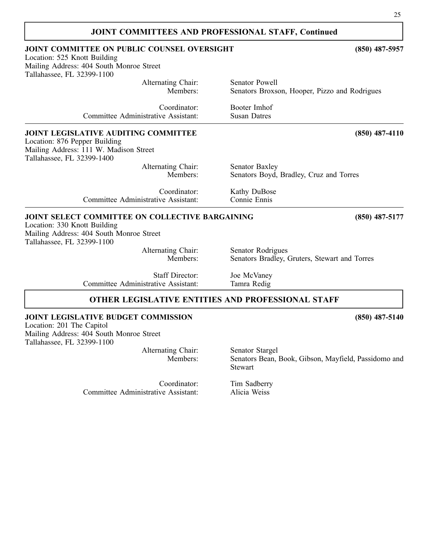| <b>JOINT COMMITTEES AND PROFESSIONAL STAFF, Continued</b>                                                                                                        |                                               |
|------------------------------------------------------------------------------------------------------------------------------------------------------------------|-----------------------------------------------|
| <b>JOINT COMMITTEE ON PUBLIC COUNSEL OVERSIGHT</b><br>Location: 525 Knott Building                                                                               | $(850)$ 487-5957                              |
| Mailing Address: 404 South Monroe Street                                                                                                                         |                                               |
| Tallahassee, FL 32399-1100                                                                                                                                       |                                               |
| Alternating Chair:                                                                                                                                               | Senator Powell                                |
| Members:                                                                                                                                                         | Senators Broxson, Hooper, Pizzo and Rodrigues |
| Coordinator:                                                                                                                                                     | Booter Imhof                                  |
| Committee Administrative Assistant:                                                                                                                              | <b>Susan Datres</b>                           |
| <b>JOINT LEGISLATIVE AUDITING COMMITTEE</b><br>Location: 876 Pepper Building<br>Mailing Address: 111 W. Madison Street<br>Tallahassee, FL 32399-1400             | $(850)$ 487-4110                              |
| Alternating Chair:                                                                                                                                               | <b>Senator Baxley</b>                         |
| Members:                                                                                                                                                         | Senators Boyd, Bradley, Cruz and Torres       |
| Coordinator:                                                                                                                                                     | Kathy DuBose                                  |
| Committee Administrative Assistant:                                                                                                                              | Connie Ennis                                  |
| <b>JOINT SELECT COMMITTEE ON COLLECTIVE BARGAINING</b><br>Location: 330 Knott Building<br>Mailing Address: 404 South Monroe Street<br>Tallahassee, FL 32399-1100 | $(850)$ 487-5177                              |
| Alternating Chair:                                                                                                                                               | Senator Rodrigues                             |
| Members:                                                                                                                                                         | Senators Bradley, Gruters, Stewart and Torres |
| <b>Staff Director:</b>                                                                                                                                           | Joe McVaney                                   |
| Committee Administrative Assistant:                                                                                                                              | Tamra Redig                                   |
| <b>OTHER LEGISLATIVE ENTITIES AND PROFESSIONAL STAFF</b>                                                                                                         |                                               |
| <b>JOINT LEGISLATIVE BUDGET COMMISSION</b>                                                                                                                       | $(850)$ 487-5140                              |

Location: 201 The Capitol Mailing Address: 404 South Monroe Street Tallahassee, FL 32399-1100

Alternating Chair: Senator Stargel<br>Members: Senators Bean,

Committee Administrative Assistant:

Senators Bean, Book, Gibson, Mayfield, Passidomo and Stewart

25

Coordinator: Tim Sadberry<br>
ive Assistant: Alicia Weiss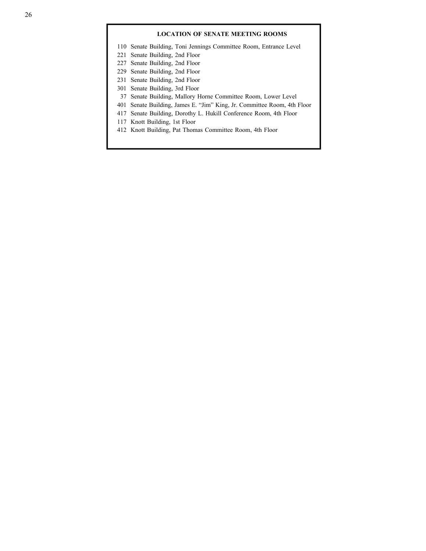### **LOCATION OF SENATE MEETING ROOMS**

110 Senate Building, Toni Jennings Committee Room, Entrance Level

- 221 Senate Building, 2nd Floor
- 227 Senate Building, 2nd Floor
- 229 Senate Building, 2nd Floor
- 231 Senate Building, 2nd Floor
- 301 Senate Building, 3rd Floor
- 37 Senate Building, Mallory Horne Committee Room, Lower Level
- 401 Senate Building, James E. "Jim" King, Jr. Committee Room, 4th Floor
- 417 Senate Building, Dorothy L. Hukill Conference Room, 4th Floor
- 117 Knott Building, 1st Floor
- 412 Knott Building, Pat Thomas Committee Room, 4th Floor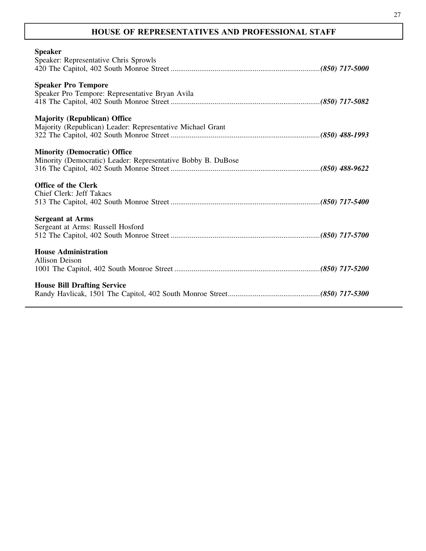### **HOUSE OF REPRESENTATIVES AND PROFESSIONAL STAFF**

| <b>Speaker</b>                                               |  |
|--------------------------------------------------------------|--|
| Speaker: Representative Chris Sprowls                        |  |
|                                                              |  |
|                                                              |  |
| <b>Speaker Pro Tempore</b>                                   |  |
| Speaker Pro Tempore: Representative Bryan Avila              |  |
|                                                              |  |
| <b>Majority (Republican) Office</b>                          |  |
| Majority (Republican) Leader: Representative Michael Grant   |  |
|                                                              |  |
|                                                              |  |
| <b>Minority (Democratic) Office</b>                          |  |
| Minority (Democratic) Leader: Representative Bobby B. DuBose |  |
|                                                              |  |
|                                                              |  |
| <b>Office of the Clerk</b>                                   |  |
| Chief Clerk: Jeff Takacs                                     |  |
|                                                              |  |
| <b>Sergeant at Arms</b>                                      |  |
| Sergeant at Arms: Russell Hosford                            |  |
|                                                              |  |
|                                                              |  |
| <b>House Administration</b>                                  |  |
| <b>Allison Deison</b>                                        |  |
|                                                              |  |
|                                                              |  |
| <b>House Bill Drafting Service</b>                           |  |
|                                                              |  |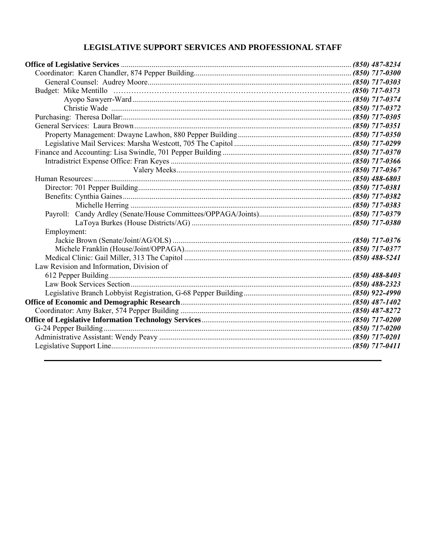### LEGISLATIVE SUPPORT SERVICES AND PROFESSIONAL STAFF

| Payroll:                                  |  |
|-------------------------------------------|--|
|                                           |  |
| Employment:                               |  |
|                                           |  |
|                                           |  |
|                                           |  |
| Law Revision and Information, Division of |  |
|                                           |  |
|                                           |  |
|                                           |  |
|                                           |  |
|                                           |  |
|                                           |  |
|                                           |  |
|                                           |  |
|                                           |  |
|                                           |  |